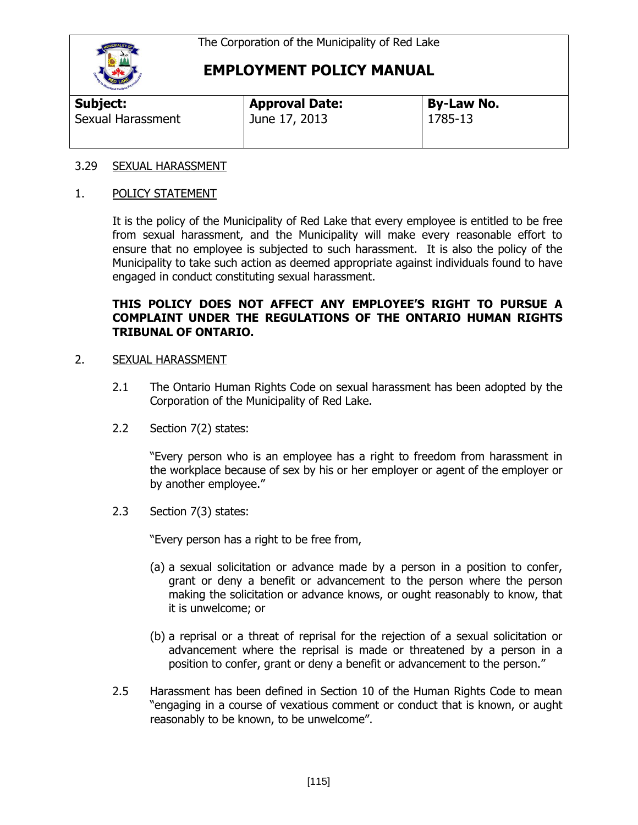

| and Caribon       |                       |                   |  |
|-------------------|-----------------------|-------------------|--|
| Subject:          | <b>Approval Date:</b> | <b>By-Law No.</b> |  |
| Sexual Harassment | June 17, 2013         | 1785-13           |  |

### 3.29 SEXUAL HARASSMENT

#### 1. POLICY STATEMENT

It is the policy of the Municipality of Red Lake that every employee is entitled to be free from sexual harassment, and the Municipality will make every reasonable effort to ensure that no employee is subjected to such harassment. It is also the policy of the Municipality to take such action as deemed appropriate against individuals found to have engaged in conduct constituting sexual harassment.

### **THIS POLICY DOES NOT AFFECT ANY EMPLOYEE'S RIGHT TO PURSUE A COMPLAINT UNDER THE REGULATIONS OF THE ONTARIO HUMAN RIGHTS TRIBUNAL OF ONTARIO.**

#### 2. SEXUAL HARASSMENT

- 2.1 The Ontario Human Rights Code on sexual harassment has been adopted by the Corporation of the Municipality of Red Lake.
- 2.2 Section 7(2) states:

"Every person who is an employee has a right to freedom from harassment in the workplace because of sex by his or her employer or agent of the employer or by another employee."

2.3 Section 7(3) states:

"Every person has a right to be free from,

- (a) a sexual solicitation or advance made by a person in a position to confer, grant or deny a benefit or advancement to the person where the person making the solicitation or advance knows, or ought reasonably to know, that it is unwelcome; or
- (b) a reprisal or a threat of reprisal for the rejection of a sexual solicitation or advancement where the reprisal is made or threatened by a person in a position to confer, grant or deny a benefit or advancement to the person."
- 2.5 Harassment has been defined in Section 10 of the Human Rights Code to mean "engaging in a course of vexatious comment or conduct that is known, or aught reasonably to be known, to be unwelcome".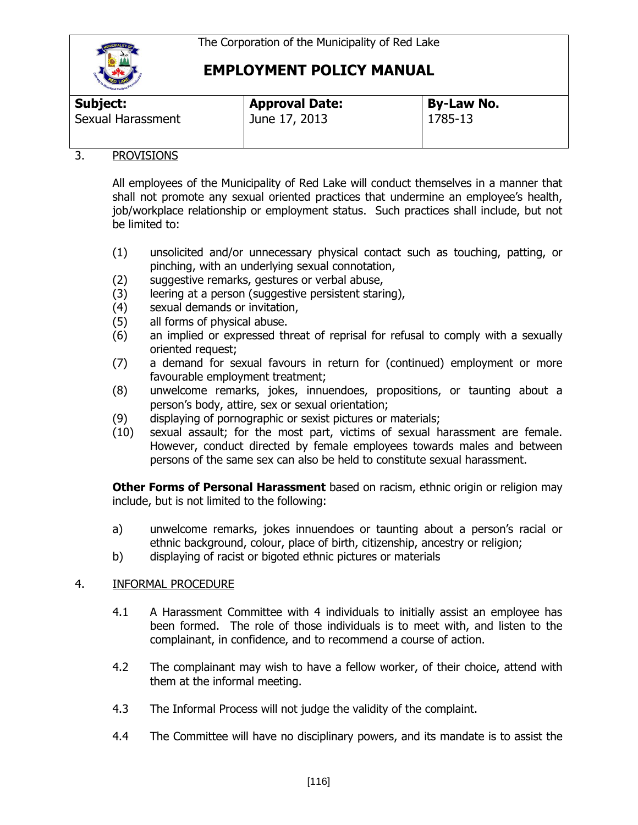

| <b>THE REAL PROPERTY AND INCOME.</b> |                       |                   |
|--------------------------------------|-----------------------|-------------------|
| Subject:                             | <b>Approval Date:</b> | <b>By-Law No.</b> |
| Sexual Harassment                    | June 17, 2013         | 1785-13           |

## 3. PROVISIONS

All employees of the Municipality of Red Lake will conduct themselves in a manner that shall not promote any sexual oriented practices that undermine an employee's health, job/workplace relationship or employment status. Such practices shall include, but not be limited to:

- (1) unsolicited and/or unnecessary physical contact such as touching, patting, or pinching, with an underlying sexual connotation,
- (2) suggestive remarks, gestures or verbal abuse,
- (3) leering at a person (suggestive persistent staring),
- (4) sexual demands or invitation,
- (5) all forms of physical abuse.
- (6) an implied or expressed threat of reprisal for refusal to comply with a sexually oriented request;
- (7) a demand for sexual favours in return for (continued) employment or more favourable employment treatment;
- (8) unwelcome remarks, jokes, innuendoes, propositions, or taunting about a person's body, attire, sex or sexual orientation;
- (9) displaying of pornographic or sexist pictures or materials;
- (10) sexual assault; for the most part, victims of sexual harassment are female. However, conduct directed by female employees towards males and between persons of the same sex can also be held to constitute sexual harassment.

**Other Forms of Personal Harassment** based on racism, ethnic origin or religion may include, but is not limited to the following:

- a) unwelcome remarks, jokes innuendoes or taunting about a person's racial or ethnic background, colour, place of birth, citizenship, ancestry or religion;
- b) displaying of racist or bigoted ethnic pictures or materials

### 4. INFORMAL PROCEDURE

- 4.1 A Harassment Committee with 4 individuals to initially assist an employee has been formed. The role of those individuals is to meet with, and listen to the complainant, in confidence, and to recommend a course of action.
- 4.2 The complainant may wish to have a fellow worker, of their choice, attend with them at the informal meeting.
- 4.3 The Informal Process will not judge the validity of the complaint.
- 4.4 The Committee will have no disciplinary powers, and its mandate is to assist the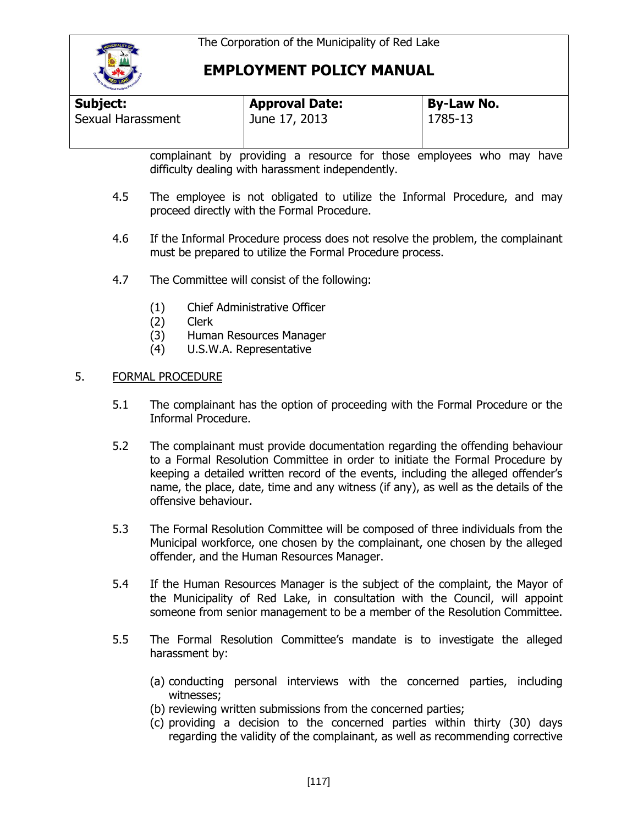

| <b>Subject:</b>          | <b>Approval Date:</b> | <b>By-Law No.</b> |  |
|--------------------------|-----------------------|-------------------|--|
| <b>Sexual Harassment</b> | June 17, 2013         | 1785-13           |  |

complainant by providing a resource for those employees who may have difficulty dealing with harassment independently.

- 4.5 The employee is not obligated to utilize the Informal Procedure, and may proceed directly with the Formal Procedure.
- 4.6 If the Informal Procedure process does not resolve the problem, the complainant must be prepared to utilize the Formal Procedure process.
- 4.7 The Committee will consist of the following:
	- (1) Chief Administrative Officer
	- (2) Clerk
	- (3) Human Resources Manager
	- (4) U.S.W.A. Representative

### 5. FORMAL PROCEDURE

- 5.1 The complainant has the option of proceeding with the Formal Procedure or the Informal Procedure.
- 5.2 The complainant must provide documentation regarding the offending behaviour to a Formal Resolution Committee in order to initiate the Formal Procedure by keeping a detailed written record of the events, including the alleged offender's name, the place, date, time and any witness (if any), as well as the details of the offensive behaviour.
- 5.3 The Formal Resolution Committee will be composed of three individuals from the Municipal workforce, one chosen by the complainant, one chosen by the alleged offender, and the Human Resources Manager.
- 5.4 If the Human Resources Manager is the subject of the complaint, the Mayor of the Municipality of Red Lake, in consultation with the Council, will appoint someone from senior management to be a member of the Resolution Committee.
- 5.5 The Formal Resolution Committee's mandate is to investigate the alleged harassment by:
	- (a) conducting personal interviews with the concerned parties, including witnesses;
	- (b) reviewing written submissions from the concerned parties;
	- (c) providing a decision to the concerned parties within thirty (30) days regarding the validity of the complainant, as well as recommending corrective